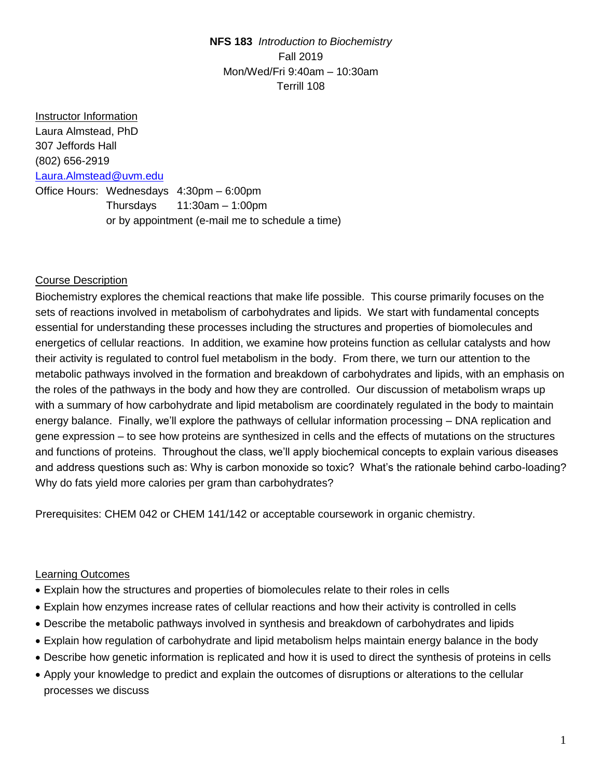**NFS 183** *Introduction to Biochemistry* Fall 2019 Mon/Wed/Fri 9:40am – 10:30am Terrill 108

Instructor Information Laura Almstead, PhD 307 Jeffords Hall (802) 656-2919 [Laura.Almstead@uvm.edu](mailto:Laura.Almstead@uvm.edu) Office Hours: Wednesdays 4:30pm – 6:00pm Thursdays 11:30am – 1:00pm or by appointment (e-mail me to schedule a time)

## Course Description

Biochemistry explores the chemical reactions that make life possible. This course primarily focuses on the sets of reactions involved in metabolism of carbohydrates and lipids. We start with fundamental concepts essential for understanding these processes including the structures and properties of biomolecules and energetics of cellular reactions. In addition, we examine how proteins function as cellular catalysts and how their activity is regulated to control fuel metabolism in the body. From there, we turn our attention to the metabolic pathways involved in the formation and breakdown of carbohydrates and lipids, with an emphasis on the roles of the pathways in the body and how they are controlled. Our discussion of metabolism wraps up with a summary of how carbohydrate and lipid metabolism are coordinately regulated in the body to maintain energy balance. Finally, we'll explore the pathways of cellular information processing – DNA replication and gene expression – to see how proteins are synthesized in cells and the effects of mutations on the structures and functions of proteins. Throughout the class, we'll apply biochemical concepts to explain various diseases and address questions such as: Why is carbon monoxide so toxic? What's the rationale behind carbo-loading? Why do fats yield more calories per gram than carbohydrates?

Prerequisites: CHEM 042 or CHEM 141/142 or acceptable coursework in organic chemistry.

#### Learning Outcomes

- Explain how the structures and properties of biomolecules relate to their roles in cells
- Explain how enzymes increase rates of cellular reactions and how their activity is controlled in cells
- Describe the metabolic pathways involved in synthesis and breakdown of carbohydrates and lipids
- Explain how regulation of carbohydrate and lipid metabolism helps maintain energy balance in the body
- Describe how genetic information is replicated and how it is used to direct the synthesis of proteins in cells
- Apply your knowledge to predict and explain the outcomes of disruptions or alterations to the cellular processes we discuss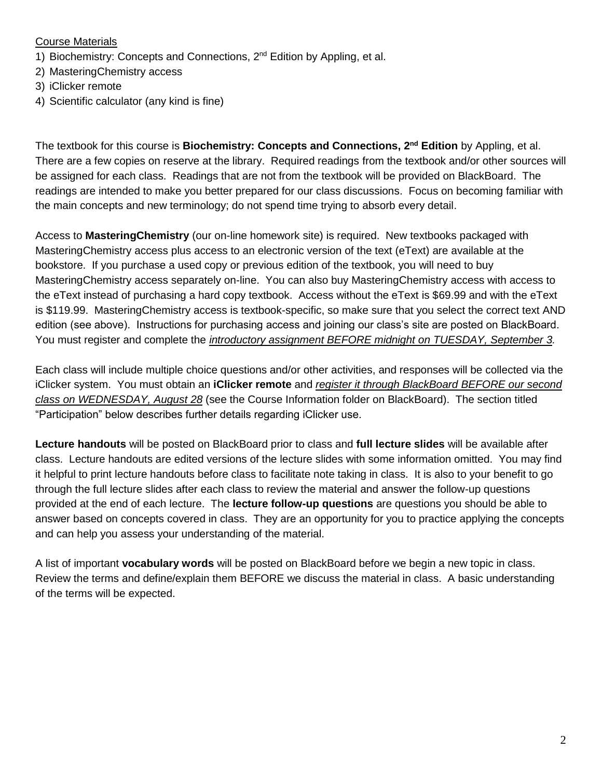#### Course Materials

- 1) Biochemistry: Concepts and Connections, 2<sup>nd</sup> Edition by Appling, et al.
- 2) MasteringChemistry access
- 3) iClicker remote
- 4) Scientific calculator (any kind is fine)

The textbook for this course is **Biochemistry: Concepts and Connections, 2 nd Edition** by Appling, et al. There are a few copies on reserve at the library. Required readings from the textbook and/or other sources will be assigned for each class. Readings that are not from the textbook will be provided on BlackBoard. The readings are intended to make you better prepared for our class discussions. Focus on becoming familiar with the main concepts and new terminology; do not spend time trying to absorb every detail.

Access to **MasteringChemistry** (our on-line homework site) is required. New textbooks packaged with MasteringChemistry access plus access to an electronic version of the text (eText) are available at the bookstore. If you purchase a used copy or previous edition of the textbook, you will need to buy MasteringChemistry access separately on-line. You can also buy MasteringChemistry access with access to the eText instead of purchasing a hard copy textbook. Access without the eText is \$69.99 and with the eText is \$119.99. MasteringChemistry access is textbook-specific, so make sure that you select the correct text AND edition (see above). Instructions for purchasing access and joining our class's site are posted on BlackBoard. You must register and complete the *introductory assignment BEFORE midnight on TUESDAY, September 3.*

Each class will include multiple choice questions and/or other activities, and responses will be collected via the iClicker system. You must obtain an **iClicker remote** and *register it through BlackBoard BEFORE our second class on WEDNESDAY, August 28* (see the Course Information folder on BlackBoard). The section titled "Participation" below describes further details regarding iClicker use.

**Lecture handouts** will be posted on BlackBoard prior to class and **full lecture slides** will be available after class. Lecture handouts are edited versions of the lecture slides with some information omitted. You may find it helpful to print lecture handouts before class to facilitate note taking in class. It is also to your benefit to go through the full lecture slides after each class to review the material and answer the follow-up questions provided at the end of each lecture. The **lecture follow-up questions** are questions you should be able to answer based on concepts covered in class. They are an opportunity for you to practice applying the concepts and can help you assess your understanding of the material.

A list of important **vocabulary words** will be posted on BlackBoard before we begin a new topic in class. Review the terms and define/explain them BEFORE we discuss the material in class. A basic understanding of the terms will be expected.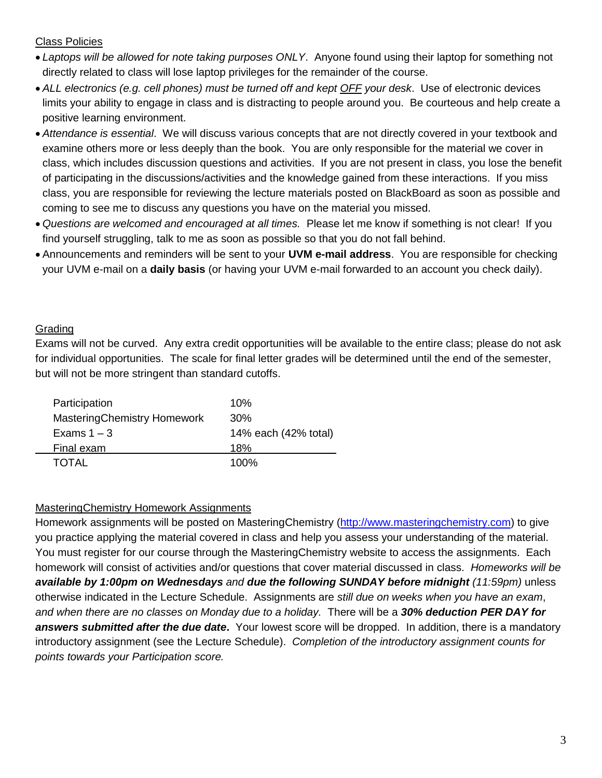## Class Policies

- *Laptops will be allowed for note taking purposes ONLY*. Anyone found using their laptop for something not directly related to class will lose laptop privileges for the remainder of the course.
- *ALL electronics (e.g. cell phones) must be turned off and kept OFF your desk*. Use of electronic devices limits your ability to engage in class and is distracting to people around you. Be courteous and help create a positive learning environment.
- *Attendance is essential*. We will discuss various concepts that are not directly covered in your textbook and examine others more or less deeply than the book. You are only responsible for the material we cover in class, which includes discussion questions and activities. If you are not present in class, you lose the benefit of participating in the discussions/activities and the knowledge gained from these interactions. If you miss class, you are responsible for reviewing the lecture materials posted on BlackBoard as soon as possible and coming to see me to discuss any questions you have on the material you missed.
- *Questions are welcomed and encouraged at all times.* Please let me know if something is not clear! If you find yourself struggling, talk to me as soon as possible so that you do not fall behind.
- Announcements and reminders will be sent to your **UVM e-mail address**. You are responsible for checking your UVM e-mail on a **daily basis** (or having your UVM e-mail forwarded to an account you check daily).

## **Grading**

÷

Exams will not be curved. Any extra credit opportunities will be available to the entire class; please do not ask for individual opportunities. The scale for final letter grades will be determined until the end of the semester, but will not be more stringent than standard cutoffs.

| 10%                  |
|----------------------|
| 30%                  |
| 14% each (42% total) |
| 18%                  |
| 100%                 |
|                      |

## MasteringChemistry Homework Assignments

Homework assignments will be posted on MasteringChemistry [\(http://www.masteringchemistry.com\)](https://www.pearsonmylabandmastering.com/northamerica/masteringchemistry/index.html) to give you practice applying the material covered in class and help you assess your understanding of the material. You must register for our course through the MasteringChemistry website to access the assignments. Each homework will consist of activities and/or questions that cover material discussed in class. *Homeworks will be available by 1:00pm on Wednesdays and due the following SUNDAY before midnight (11:59pm)* unless otherwise indicated in the Lecture Schedule. Assignments are *still due on weeks when you have an exam*, *and when there are no classes on Monday due to a holiday.* There will be a *30% deduction PER DAY for answers submitted after the due date***.** Your lowest score will be dropped. In addition, there is a mandatory introductory assignment (see the Lecture Schedule). *Completion of the introductory assignment counts for points towards your Participation score.*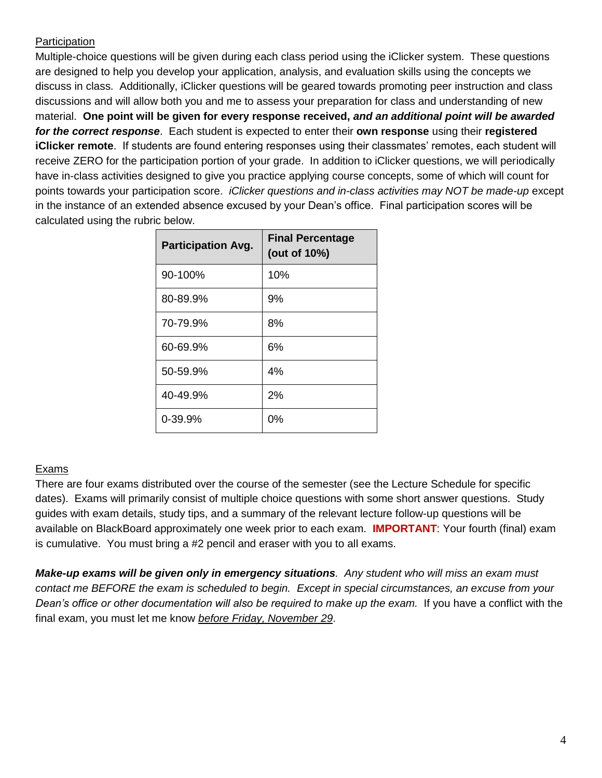# **Participation**

Multiple-choice questions will be given during each class period using the iClicker system. These questions are designed to help you develop your application, analysis, and evaluation skills using the concepts we discuss in class. Additionally, iClicker questions will be geared towards promoting peer instruction and class discussions and will allow both you and me to assess your preparation for class and understanding of new material. **One point will be given for every response received,** *and an additional point will be awarded for the correct response*. Each student is expected to enter their **own response** using their **registered iClicker remote**. If students are found entering responses using their classmates' remotes, each student will receive ZERO for the participation portion of your grade. In addition to iClicker questions, we will periodically have in-class activities designed to give you practice applying course concepts, some of which will count for points towards your participation score. *iClicker questions and in-class activities may NOT be made-up* except in the instance of an extended absence excused by your Dean's office. Final participation scores will be calculated using the rubric below.

| <b>Participation Avg.</b> | <b>Final Percentage</b><br>(out of 10%) |
|---------------------------|-----------------------------------------|
| 90-100%                   | 10%                                     |
| 80-89.9%                  | 9%                                      |
| 70-79.9%                  | 8%                                      |
| 60-69.9%                  | 6%                                      |
| 50-59.9%                  | 4%                                      |
| 40-49.9%                  | 2%                                      |
| 0-39.9%                   | 0%                                      |

# Exams

There are four exams distributed over the course of the semester (see the Lecture Schedule for specific dates). Exams will primarily consist of multiple choice questions with some short answer questions. Study guides with exam details, study tips, and a summary of the relevant lecture follow-up questions will be available on BlackBoard approximately one week prior to each exam. **IMPORTANT**: Your fourth (final) exam is cumulative. You must bring a #2 pencil and eraser with you to all exams.

*Make-up exams will be given only in emergency situations. Any student who will miss an exam must contact me BEFORE the exam is scheduled to begin. Except in special circumstances, an excuse from your Dean's office or other documentation will also be required to make up the exam.* If you have a conflict with the final exam, you must let me know *before Friday, November 29*.